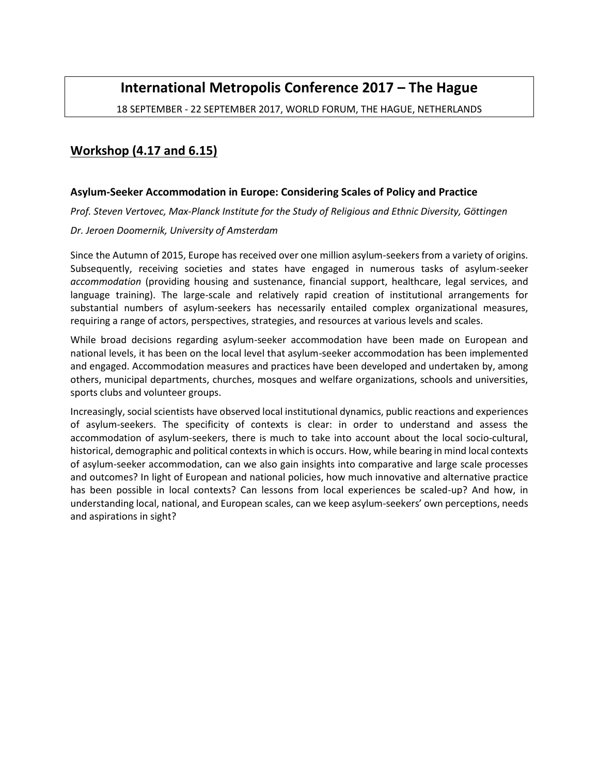# **International Metropolis Conference 2017 – The Hague**

18 SEPTEMBER - 22 SEPTEMBER 2017, WORLD FORUM, THE HAGUE, NETHERLANDS

## **Workshop (4.17 and 6.15)**

### **Asylum-Seeker Accommodation in Europe: Considering Scales of Policy and Practice**

*Prof. Steven Vertovec, Max-Planck Institute for the Study of Religious and Ethnic Diversity, Göttingen*

#### *Dr. Jeroen Doomernik, University of Amsterdam*

Since the Autumn of 2015, Europe has received over one million asylum-seekers from a variety of origins. Subsequently, receiving societies and states have engaged in numerous tasks of asylum-seeker *accommodation* (providing housing and sustenance, financial support, healthcare, legal services, and language training). The large-scale and relatively rapid creation of institutional arrangements for substantial numbers of asylum-seekers has necessarily entailed complex organizational measures, requiring a range of actors, perspectives, strategies, and resources at various levels and scales.

While broad decisions regarding asylum-seeker accommodation have been made on European and national levels, it has been on the local level that asylum-seeker accommodation has been implemented and engaged. Accommodation measures and practices have been developed and undertaken by, among others, municipal departments, churches, mosques and welfare organizations, schools and universities, sports clubs and volunteer groups.

Increasingly, social scientists have observed local institutional dynamics, public reactions and experiences of asylum-seekers. The specificity of contexts is clear: in order to understand and assess the accommodation of asylum-seekers, there is much to take into account about the local socio-cultural, historical, demographic and political contexts in which is occurs. How, while bearing in mind local contexts of asylum-seeker accommodation, can we also gain insights into comparative and large scale processes and outcomes? In light of European and national policies, how much innovative and alternative practice has been possible in local contexts? Can lessons from local experiences be scaled-up? And how, in understanding local, national, and European scales, can we keep asylum-seekers' own perceptions, needs and aspirations in sight?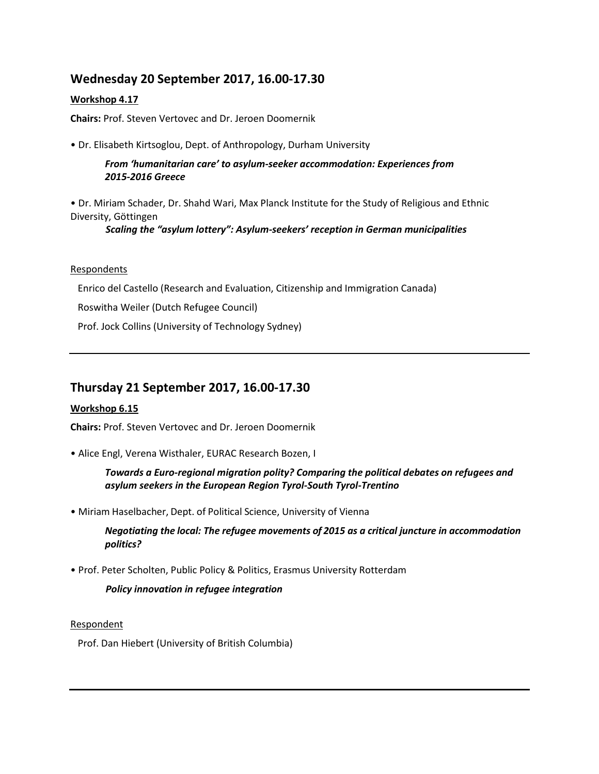## **Wednesday 20 September 2017, 16.00-17.30**

## **Workshop 4.17**

**Chairs:** Prof. Steven Vertovec and Dr. Jeroen Doomernik

• Dr. Elisabeth Kirtsoglou, Dept. of Anthropology, Durham University

*From 'humanitarian care' to asylum-seeker accommodation: Experiences from 2015-2016 Greece*

• Dr. Miriam Schader, Dr. Shahd Wari, Max Planck Institute for the Study of Religious and Ethnic Diversity, Göttingen

*Scaling the "asylum lottery": Asylum-seekers' reception in German municipalities* 

### Respondents

Enrico del Castello (Research and Evaluation, Citizenship and Immigration Canada)

Roswitha Weiler (Dutch Refugee Council)

Prof. Jock Collins (University of Technology Sydney)

## **Thursday 21 September 2017, 16.00-17.30**

## **Workshop 6.15**

**Chairs:** Prof. Steven Vertovec and Dr. Jeroen Doomernik

• Alice Engl, Verena Wisthaler, EURAC Research Bozen, I

*Towards a Euro-regional migration polity? Comparing the political debates on refugees and asylum seekers in the European Region Tyrol-South Tyrol-Trentino*

• Miriam Haselbacher, Dept. of Political Science, University of Vienna

*Negotiating the local: The refugee movements of 2015 as a critical juncture in accommodation politics?*

• Prof. Peter Scholten, Public Policy & Politics, Erasmus University Rotterdam

*Policy innovation in refugee integration*

Respondent

Prof. Dan Hiebert (University of British Columbia)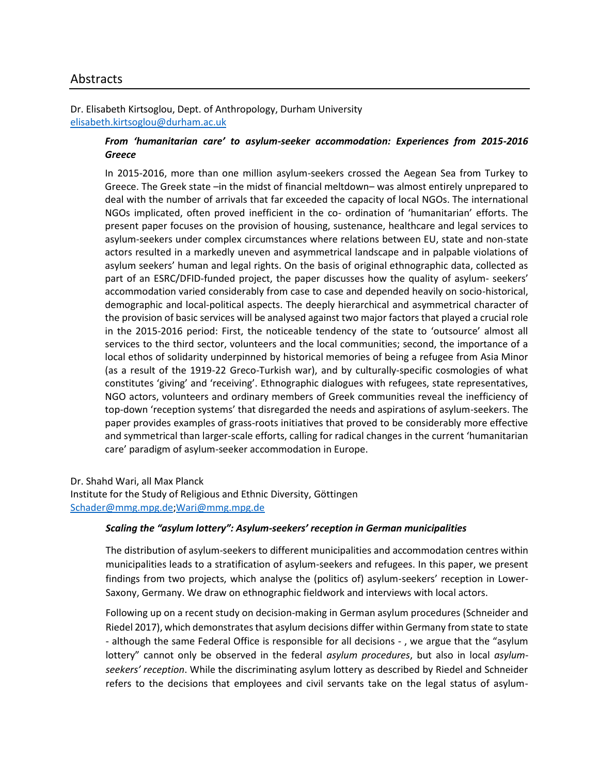## Abstracts

Dr. Elisabeth Kirtsoglou, Dept. of Anthropology, Durham University [elisabeth.kirtsoglou@durham.ac.uk](mailto:elisabeth.kirtsoglou@durham.ac.uk)

## *From 'humanitarian care' to asylum-seeker accommodation: Experiences from 2015-2016 Greece*

In 2015-2016, more than one million asylum-seekers crossed the Aegean Sea from Turkey to Greece. The Greek state –in the midst of financial meltdown– was almost entirely unprepared to deal with the number of arrivals that far exceeded the capacity of local NGOs. The international NGOs implicated, often proved inefficient in the co- ordination of 'humanitarian' efforts. The present paper focuses on the provision of housing, sustenance, healthcare and legal services to asylum-seekers under complex circumstances where relations between EU, state and non-state actors resulted in a markedly uneven and asymmetrical landscape and in palpable violations of asylum seekers' human and legal rights. On the basis of original ethnographic data, collected as part of an ESRC/DFID-funded project, the paper discusses how the quality of asylum- seekers' accommodation varied considerably from case to case and depended heavily on socio-historical, demographic and local-political aspects. The deeply hierarchical and asymmetrical character of the provision of basic services will be analysed against two major factors that played a crucial role in the 2015-2016 period: First, the noticeable tendency of the state to 'outsource' almost all services to the third sector, volunteers and the local communities; second, the importance of a local ethos of solidarity underpinned by historical memories of being a refugee from Asia Minor (as a result of the 1919-22 Greco-Turkish war), and by culturally-specific cosmologies of what constitutes 'giving' and 'receiving'. Ethnographic dialogues with refugees, state representatives, NGO actors, volunteers and ordinary members of Greek communities reveal the inefficiency of top-down 'reception systems' that disregarded the needs and aspirations of asylum-seekers. The paper provides examples of grass-roots initiatives that proved to be considerably more effective and symmetrical than larger-scale efforts, calling for radical changes in the current 'humanitarian care' paradigm of asylum-seeker accommodation in Europe.

Dr. Shahd Wari, all Max Planck

Institute for the Study of Religious and Ethnic Diversity, Göttingen [Schader@mmg.mpg.de;](mailto:Schader@mmg.mpg.de)[Wari@mmg.mpg.de](mailto:Wari@mmg.mpg.de)

#### *Scaling the "asylum lottery": Asylum-seekers' reception in German municipalities*

The distribution of asylum-seekers to different municipalities and accommodation centres within municipalities leads to a stratification of asylum-seekers and refugees. In this paper, we present findings from two projects, which analyse the (politics of) asylum-seekers' reception in Lower-Saxony, Germany. We draw on ethnographic fieldwork and interviews with local actors.

Following up on a recent study on decision-making in German asylum procedures (Schneider and Riedel 2017), which demonstrates that asylum decisions differ within Germany from state to state - although the same Federal Office is responsible for all decisions - , we argue that the "asylum lottery" cannot only be observed in the federal *asylum procedures*, but also in local *asylumseekers' reception*. While the discriminating asylum lottery as described by Riedel and Schneider refers to the decisions that employees and civil servants take on the legal status of asylum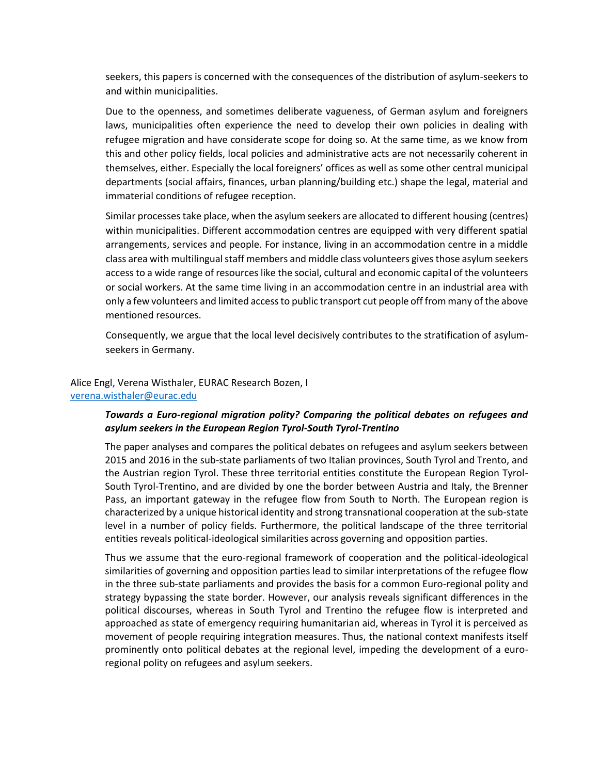seekers, this papers is concerned with the consequences of the distribution of asylum-seekers to and within municipalities.

Due to the openness, and sometimes deliberate vagueness, of German asylum and foreigners laws, municipalities often experience the need to develop their own policies in dealing with refugee migration and have considerate scope for doing so. At the same time, as we know from this and other policy fields, local policies and administrative acts are not necessarily coherent in themselves, either. Especially the local foreigners' offices as well as some other central municipal departments (social affairs, finances, urban planning/building etc.) shape the legal, material and immaterial conditions of refugee reception.

Similar processes take place, when the asylum seekers are allocated to different housing (centres) within municipalities. Different accommodation centres are equipped with very different spatial arrangements, services and people. For instance, living in an accommodation centre in a middle class area with multilingual staff members and middle class volunteers gives those asylum seekers access to a wide range of resources like the social, cultural and economic capital of the volunteers or social workers. At the same time living in an accommodation centre in an industrial area with only a few volunteers and limited access to public transport cut people off from many of the above mentioned resources.

Consequently, we argue that the local level decisively contributes to the stratification of asylumseekers in Germany.

### Alice Engl, Verena Wisthaler, EURAC Research Bozen, I [verena.wisthaler@eurac.edu](mailto:verena.wisthaler@eurac.edu)

### *Towards a Euro-regional migration polity? Comparing the political debates on refugees and asylum seekers in the European Region Tyrol-South Tyrol-Trentino*

The paper analyses and compares the political debates on refugees and asylum seekers between 2015 and 2016 in the sub-state parliaments of two Italian provinces, South Tyrol and Trento, and the Austrian region Tyrol. These three territorial entities constitute the European Region Tyrol-South Tyrol-Trentino, and are divided by one the border between Austria and Italy, the Brenner Pass, an important gateway in the refugee flow from South to North. The European region is characterized by a unique historical identity and strong transnational cooperation at the sub-state level in a number of policy fields. Furthermore, the political landscape of the three territorial entities reveals political-ideological similarities across governing and opposition parties.

Thus we assume that the euro-regional framework of cooperation and the political-ideological similarities of governing and opposition parties lead to similar interpretations of the refugee flow in the three sub-state parliaments and provides the basis for a common Euro-regional polity and strategy bypassing the state border. However, our analysis reveals significant differences in the political discourses, whereas in South Tyrol and Trentino the refugee flow is interpreted and approached as state of emergency requiring humanitarian aid, whereas in Tyrol it is perceived as movement of people requiring integration measures. Thus, the national context manifests itself prominently onto political debates at the regional level, impeding the development of a euroregional polity on refugees and asylum seekers.